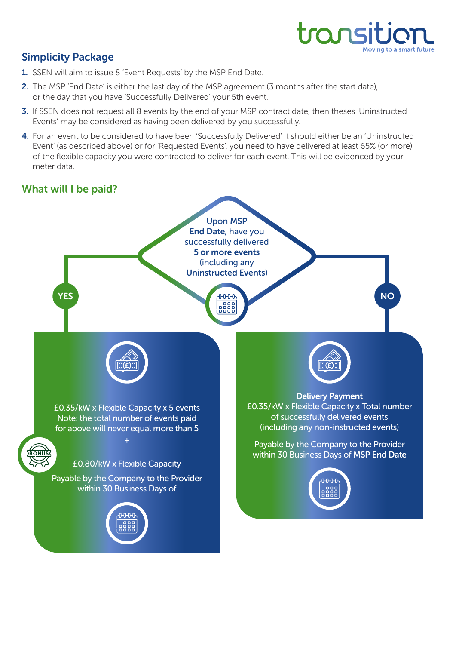

## Simplicity Package

- 1. SSEN will aim to issue 8 'Event Requests' by the MSP End Date.
- 2. The MSP 'End Date' is either the last day of the MSP agreement (3 months after the start date), or the day that you have 'Successfully Delivered' your 5th event.
- 3. If SSEN does not request all 8 events by the end of your MSP contract date, then theses 'Uninstructed Events' may be considered as having been delivered by you successfully.
- 4. For an event to be considered to have been 'Successfully Delivered' it should either be an 'Uninstructed Event' (as described above) or for 'Requested Events', you need to have delivered at least 65% (or more) of the flexible capacity you were contracted to deliver for each event. This will be evidenced by your meter data.

## What will I be paid?